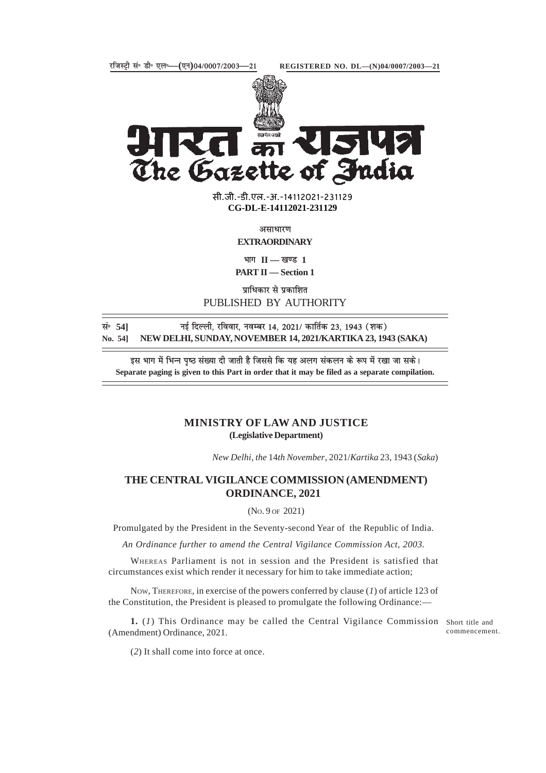

The Gazette of India

**xxxGIDHxxx** सी.जी.-डी.एल.-अ.-14112021-231129 **xxxGIDExxx CG-DL-E-14112021-231129**

असाधारण

**EXTRAORDINARY**

 $\overline{H}$  **II — खण्ड** 1

**PART II — Section 1**

**प्राधिकार से प्रकाशित** PUBLISHED BY AUTHORITY

**lañ 54] ubZ fnYyh] jfookj] uoEcj 14] 2021@ dkfrZd 23] 1943 ¼'kd½ No. 54] NEW DELHI, SUNDAY, NOVEMBER 14, 2021/KARTIKA 23, 1943 (SAKA)**

इस भाग में भिन्न पृष्ठ संख्या दी जाती है जिससे कि यह अलग संकलन के रूप में रखा जा सके। **Separate paging is given to this Part in order that it may be filed as a separate compilation.**

## **MINISTRY OF LAW AND JUSTICE (Legislative Department)**

*New Delhi, the* 14*th November*, 2021/*Kartika* 23, 1943 (*Saka*)

## **THE CENTRAL VIGILANCE COMMISSION (AMENDMENT) ORDINANCE, 2021**

(NO. 9 OF 2021)

Promulgated by the President in the Seventy-second Year of the Republic of India.

*An Ordinance further to amend the Central Vigilance Commission Act, 2003.*

WHEREAS Parliament is not in session and the President is satisfied that circumstances exist which render it necessary for him to take immediate action;

NOW, THEREFORE, in exercise of the powers conferred by clause (*1*) of article 123 of the Constitution, the President is pleased to promulgate the following Ordinance:—

1. (1) This Ordinance may be called the Central Vigilance Commission Short title and (Amendment) Ordinance, 2021.

commencement.

(*2*) It shall come into force at once.